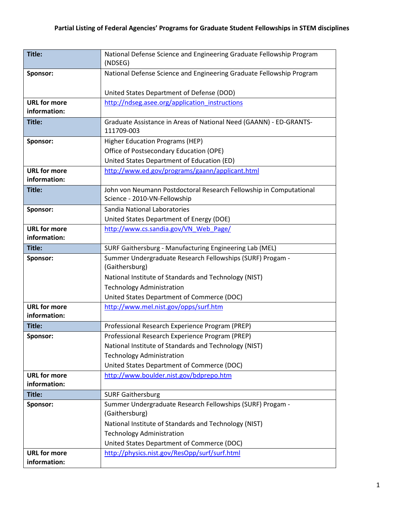| Title:                              | National Defense Science and Engineering Graduate Fellowship Program<br>(NDSEG)                    |
|-------------------------------------|----------------------------------------------------------------------------------------------------|
|                                     | National Defense Science and Engineering Graduate Fellowship Program                               |
| Sponsor:                            |                                                                                                    |
|                                     | United States Department of Defense (DOD)                                                          |
| <b>URL for more</b>                 | http://ndseg.asee.org/application instructions                                                     |
| information:                        |                                                                                                    |
| Title:                              | Graduate Assistance in Areas of National Need (GAANN) - ED-GRANTS-<br>111709-003                   |
| Sponsor:                            | <b>Higher Education Programs (HEP)</b>                                                             |
|                                     | Office of Postsecondary Education (OPE)                                                            |
|                                     | United States Department of Education (ED)                                                         |
| <b>URL for more</b>                 | http://www.ed.gov/programs/gaann/applicant.html                                                    |
| information:                        |                                                                                                    |
| Title:                              | John von Neumann Postdoctoral Research Fellowship in Computational                                 |
|                                     | Science - 2010-VN-Fellowship                                                                       |
| Sponsor:                            | Sandia National Laboratories                                                                       |
|                                     | United States Department of Energy (DOE)                                                           |
| <b>URL for more</b>                 | http://www.cs.sandia.gov/VN Web Page/                                                              |
| information:                        |                                                                                                    |
| Title:                              | SURF Gaithersburg - Manufacturing Engineering Lab (MEL)                                            |
| Sponsor:                            | Summer Undergraduate Research Fellowships (SURF) Progam -                                          |
|                                     | (Gaithersburg)                                                                                     |
|                                     | National Institute of Standards and Technology (NIST)                                              |
|                                     | <b>Technology Administration</b>                                                                   |
|                                     | United States Department of Commerce (DOC)                                                         |
| <b>URL for more</b><br>information: | http://www.mel.nist.gov/opps/surf.htm                                                              |
| Title:                              |                                                                                                    |
|                                     | Professional Research Experience Program (PREP)<br>Professional Research Experience Program (PREP) |
| Sponsor:                            | National Institute of Standards and Technology (NIST)                                              |
|                                     | <b>Technology Administration</b>                                                                   |
|                                     | United States Department of Commerce (DOC)                                                         |
| <b>URL for more</b>                 | http://www.boulder.nist.gov/bdprepo.htm                                                            |
| information:                        |                                                                                                    |
| Title:                              | <b>SURF Gaithersburg</b>                                                                           |
| Sponsor:                            | Summer Undergraduate Research Fellowships (SURF) Progam -                                          |
|                                     | (Gaithersburg)                                                                                     |
|                                     | National Institute of Standards and Technology (NIST)                                              |
|                                     | <b>Technology Administration</b>                                                                   |
|                                     | United States Department of Commerce (DOC)                                                         |
| <b>URL for more</b>                 | http://physics.nist.gov/ResOpp/surf/surf.html                                                      |
| information:                        |                                                                                                    |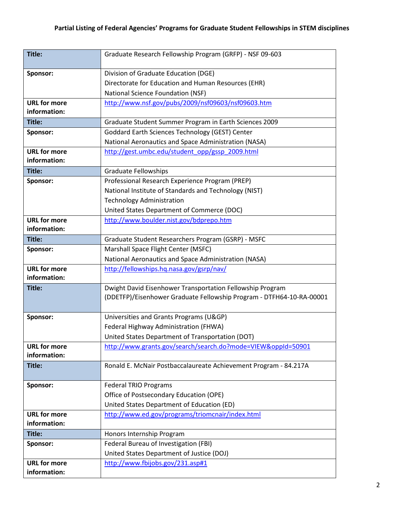| Title:                              | Graduate Research Fellowship Program (GRFP) - NSF 09-603             |
|-------------------------------------|----------------------------------------------------------------------|
| Sponsor:                            | Division of Graduate Education (DGE)                                 |
|                                     | Directorate for Education and Human Resources (EHR)                  |
|                                     | National Science Foundation (NSF)                                    |
| <b>URL for more</b>                 | http://www.nsf.gov/pubs/2009/nsf09603/nsf09603.htm                   |
| information:                        |                                                                      |
| Title:                              | Graduate Student Summer Program in Earth Sciences 2009               |
| Sponsor:                            | Goddard Earth Sciences Technology (GEST) Center                      |
|                                     | National Aeronautics and Space Administration (NASA)                 |
| <b>URL for more</b>                 | http://gest.umbc.edu/student_opp/gssp_2009.html                      |
| information:                        |                                                                      |
| Title:                              | <b>Graduate Fellowships</b>                                          |
| Sponsor:                            | Professional Research Experience Program (PREP)                      |
|                                     | National Institute of Standards and Technology (NIST)                |
|                                     | <b>Technology Administration</b>                                     |
|                                     | United States Department of Commerce (DOC)                           |
| <b>URL for more</b>                 | http://www.boulder.nist.gov/bdprepo.htm                              |
| information:                        |                                                                      |
| Title:                              | Graduate Student Researchers Program (GSRP) - MSFC                   |
| Sponsor:                            | Marshall Space Flight Center (MSFC)                                  |
|                                     | National Aeronautics and Space Administration (NASA)                 |
| <b>URL for more</b>                 | http://fellowships.hq.nasa.gov/gsrp/nav/                             |
| information:                        |                                                                      |
| Title:                              | Dwight David Eisenhower Transportation Fellowship Program            |
|                                     | (DDETFP)/Eisenhower Graduate Fellowship Program - DTFH64-10-RA-00001 |
|                                     |                                                                      |
| Sponsor:                            | Universities and Grants Programs (U&GP)                              |
|                                     | Federal Highway Administration (FHWA)                                |
|                                     | United States Department of Transportation (DOT)                     |
| <b>URL for more</b><br>information: | http://www.grants.gov/search/search.do?mode=VIEW&oppId=50901         |
| Title:                              | Ronald E. McNair Postbaccalaureate Achievement Program - 84.217A     |
|                                     |                                                                      |
| Sponsor:                            | <b>Federal TRIO Programs</b>                                         |
|                                     | Office of Postsecondary Education (OPE)                              |
|                                     | United States Department of Education (ED)                           |
| <b>URL for more</b>                 | http://www.ed.gov/programs/triomcnair/index.html                     |
| information:                        |                                                                      |
| Title:                              | Honors Internship Program                                            |
| Sponsor:                            | Federal Bureau of Investigation (FBI)                                |
|                                     | United States Department of Justice (DOJ)                            |
| <b>URL for more</b>                 | http://www.fbijobs.gov/231.asp#1                                     |
| information:                        |                                                                      |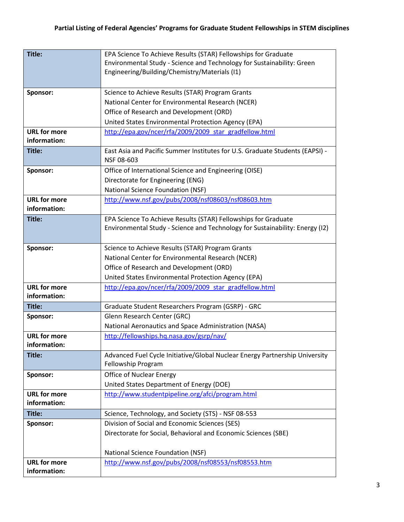| Title:                              | EPA Science To Achieve Results (STAR) Fellowships for Graduate                          |
|-------------------------------------|-----------------------------------------------------------------------------------------|
|                                     | Environmental Study - Science and Technology for Sustainability: Green                  |
|                                     | Engineering/Building/Chemistry/Materials (I1)                                           |
|                                     |                                                                                         |
| Sponsor:                            | Science to Achieve Results (STAR) Program Grants                                        |
|                                     | National Center for Environmental Research (NCER)                                       |
|                                     | Office of Research and Development (ORD)                                                |
|                                     | United States Environmental Protection Agency (EPA)                                     |
| <b>URL for more</b>                 | http://epa.gov/ncer/rfa/2009/2009_star_gradfellow.html                                  |
| information:                        |                                                                                         |
| Title:                              | East Asia and Pacific Summer Institutes for U.S. Graduate Students (EAPSI) -            |
|                                     | NSF 08-603                                                                              |
| Sponsor:                            | Office of International Science and Engineering (OISE)                                  |
|                                     | Directorate for Engineering (ENG)                                                       |
|                                     | National Science Foundation (NSF)                                                       |
| <b>URL for more</b>                 | http://www.nsf.gov/pubs/2008/nsf08603/nsf08603.htm                                      |
| information:                        |                                                                                         |
| Title:                              | EPA Science To Achieve Results (STAR) Fellowships for Graduate                          |
|                                     | Environmental Study - Science and Technology for Sustainability: Energy (I2)            |
|                                     |                                                                                         |
| Sponsor:                            | Science to Achieve Results (STAR) Program Grants                                        |
|                                     | National Center for Environmental Research (NCER)                                       |
|                                     | Office of Research and Development (ORD)                                                |
|                                     | United States Environmental Protection Agency (EPA)                                     |
| <b>URL for more</b>                 | http://epa.gov/ncer/rfa/2009/2009 star gradfellow.html                                  |
| information:                        |                                                                                         |
| Title:                              | Graduate Student Researchers Program (GSRP) - GRC                                       |
| Sponsor:                            | Glenn Research Center (GRC)                                                             |
|                                     | National Aeronautics and Space Administration (NASA)                                    |
| <b>URL</b> for more                 | http://fellowships.hq.nasa.gov/gsrp/nav/                                                |
| information:                        |                                                                                         |
| Title:                              | Advanced Fuel Cycle Initiative/Global Nuclear Energy Partnership University             |
|                                     | Fellowship Program                                                                      |
| Sponsor:                            | <b>Office of Nuclear Energy</b>                                                         |
|                                     | United States Department of Energy (DOE)                                                |
| <b>URL for more</b><br>information: | http://www.studentpipeline.org/afci/program.html                                        |
|                                     |                                                                                         |
| Title:                              | Science, Technology, and Society (STS) - NSF 08-553                                     |
| Sponsor:                            | Division of Social and Economic Sciences (SES)                                          |
|                                     | Directorate for Social, Behavioral and Economic Sciences (SBE)                          |
|                                     |                                                                                         |
| <b>URL for more</b>                 | National Science Foundation (NSF)<br>http://www.nsf.gov/pubs/2008/nsf08553/nsf08553.htm |
| information:                        |                                                                                         |
|                                     |                                                                                         |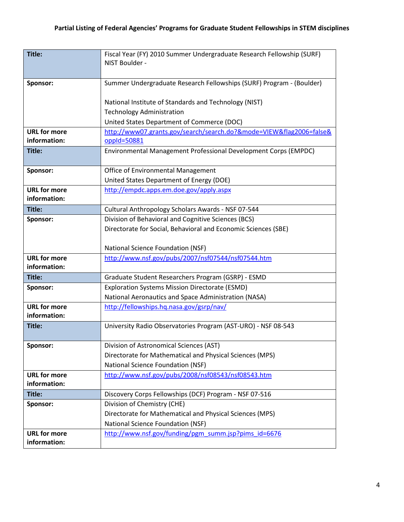| Title:              | Fiscal Year (FY) 2010 Summer Undergraduate Research Fellowship (SURF) |
|---------------------|-----------------------------------------------------------------------|
|                     | NIST Boulder -                                                        |
|                     |                                                                       |
| Sponsor:            | Summer Undergraduate Research Fellowships (SURF) Program - (Boulder)  |
|                     |                                                                       |
|                     | National Institute of Standards and Technology (NIST)                 |
|                     | <b>Technology Administration</b>                                      |
|                     | United States Department of Commerce (DOC)                            |
| <b>URL for more</b> | http://www07.grants.gov/search/search.do?&mode=VIEW&flag2006=false&   |
| information:        | $opp1d = 50881$                                                       |
| Title:              | Environmental Management Professional Development Corps (EMPDC)       |
| Sponsor:            | Office of Environmental Management                                    |
|                     | United States Department of Energy (DOE)                              |
| <b>URL for more</b> | http://empdc.apps.em.doe.gov/apply.aspx                               |
| information:        |                                                                       |
| Title:              | Cultural Anthropology Scholars Awards - NSF 07-544                    |
| Sponsor:            | Division of Behavioral and Cognitive Sciences (BCS)                   |
|                     | Directorate for Social, Behavioral and Economic Sciences (SBE)        |
|                     |                                                                       |
|                     | National Science Foundation (NSF)                                     |
| <b>URL for more</b> | http://www.nsf.gov/pubs/2007/nsf07544/nsf07544.htm                    |
| information:        |                                                                       |
| Title:              | Graduate Student Researchers Program (GSRP) - ESMD                    |
| Sponsor:            | Exploration Systems Mission Directorate (ESMD)                        |
|                     | National Aeronautics and Space Administration (NASA)                  |
| <b>URL for more</b> | http://fellowships.hq.nasa.gov/gsrp/nav/                              |
| information:        |                                                                       |
| Title:              | University Radio Observatories Program (AST-URO) - NSF 08-543         |
|                     |                                                                       |
| Sponsor:            | Division of Astronomical Sciences (AST)                               |
|                     | Directorate for Mathematical and Physical Sciences (MPS)              |
|                     | National Science Foundation (NSF)                                     |
| <b>URL</b> for more | http://www.nsf.gov/pubs/2008/nsf08543/nsf08543.htm                    |
| information:        |                                                                       |
| Title:              | Discovery Corps Fellowships (DCF) Program - NSF 07-516                |
| Sponsor:            | Division of Chemistry (CHE)                                           |
|                     | Directorate for Mathematical and Physical Sciences (MPS)              |
|                     | National Science Foundation (NSF)                                     |
| <b>URL for more</b> | http://www.nsf.gov/funding/pgm_summ.jsp?pims_id=6676                  |
| information:        |                                                                       |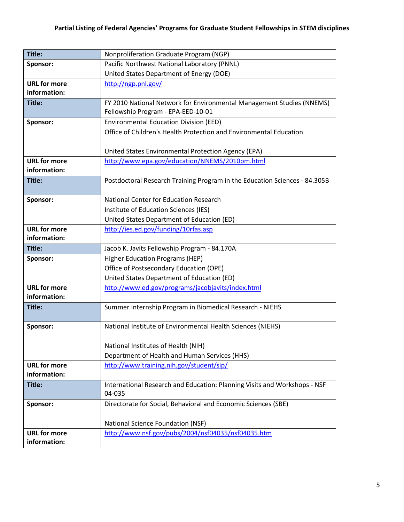| Title:                              | Nonproliferation Graduate Program (NGP)                                    |
|-------------------------------------|----------------------------------------------------------------------------|
| Sponsor:                            | Pacific Northwest National Laboratory (PNNL)                               |
|                                     | United States Department of Energy (DOE)                                   |
| <b>URL for more</b>                 | http://ngp.pnl.gov/                                                        |
| information:                        |                                                                            |
| Title:                              | FY 2010 National Network for Environmental Management Studies (NNEMS)      |
|                                     | Fellowship Program - EPA-EED-10-01                                         |
| Sponsor:                            | <b>Environmental Education Division (EED)</b>                              |
|                                     | Office of Children's Health Protection and Environmental Education         |
|                                     |                                                                            |
|                                     | United States Environmental Protection Agency (EPA)                        |
| <b>URL for more</b>                 | http://www.epa.gov/education/NNEMS/2010pm.html                             |
| information:                        |                                                                            |
| Title:                              | Postdoctoral Research Training Program in the Education Sciences - 84.305B |
|                                     |                                                                            |
| Sponsor:                            | <b>National Center for Education Research</b>                              |
|                                     | Institute of Education Sciences (IES)                                      |
|                                     | United States Department of Education (ED)                                 |
| <b>URL for more</b><br>information: | http://ies.ed.gov/funding/10rfas.asp                                       |
| Title:                              | Jacob K. Javits Fellowship Program - 84.170A                               |
| Sponsor:                            | <b>Higher Education Programs (HEP)</b>                                     |
|                                     | Office of Postsecondary Education (OPE)                                    |
|                                     | United States Department of Education (ED)                                 |
| <b>URL for more</b>                 | http://www.ed.gov/programs/jacobjavits/index.html                          |
| information:                        |                                                                            |
| Title:                              | Summer Internship Program in Biomedical Research - NIEHS                   |
|                                     |                                                                            |
| Sponsor:                            | National Institute of Environmental Health Sciences (NIEHS)                |
|                                     |                                                                            |
|                                     | National Institutes of Health (NIH)                                        |
|                                     | Department of Health and Human Services (HHS)                              |
| <b>URL for more</b>                 | http://www.training.nih.gov/student/sip/                                   |
| information:                        |                                                                            |
| Title:                              | International Research and Education: Planning Visits and Workshops - NSF  |
|                                     | 04-035                                                                     |
| Sponsor:                            | Directorate for Social, Behavioral and Economic Sciences (SBE)             |
|                                     |                                                                            |
|                                     | National Science Foundation (NSF)                                          |
| <b>URL for more</b>                 | http://www.nsf.gov/pubs/2004/nsf04035/nsf04035.htm                         |
| information:                        |                                                                            |